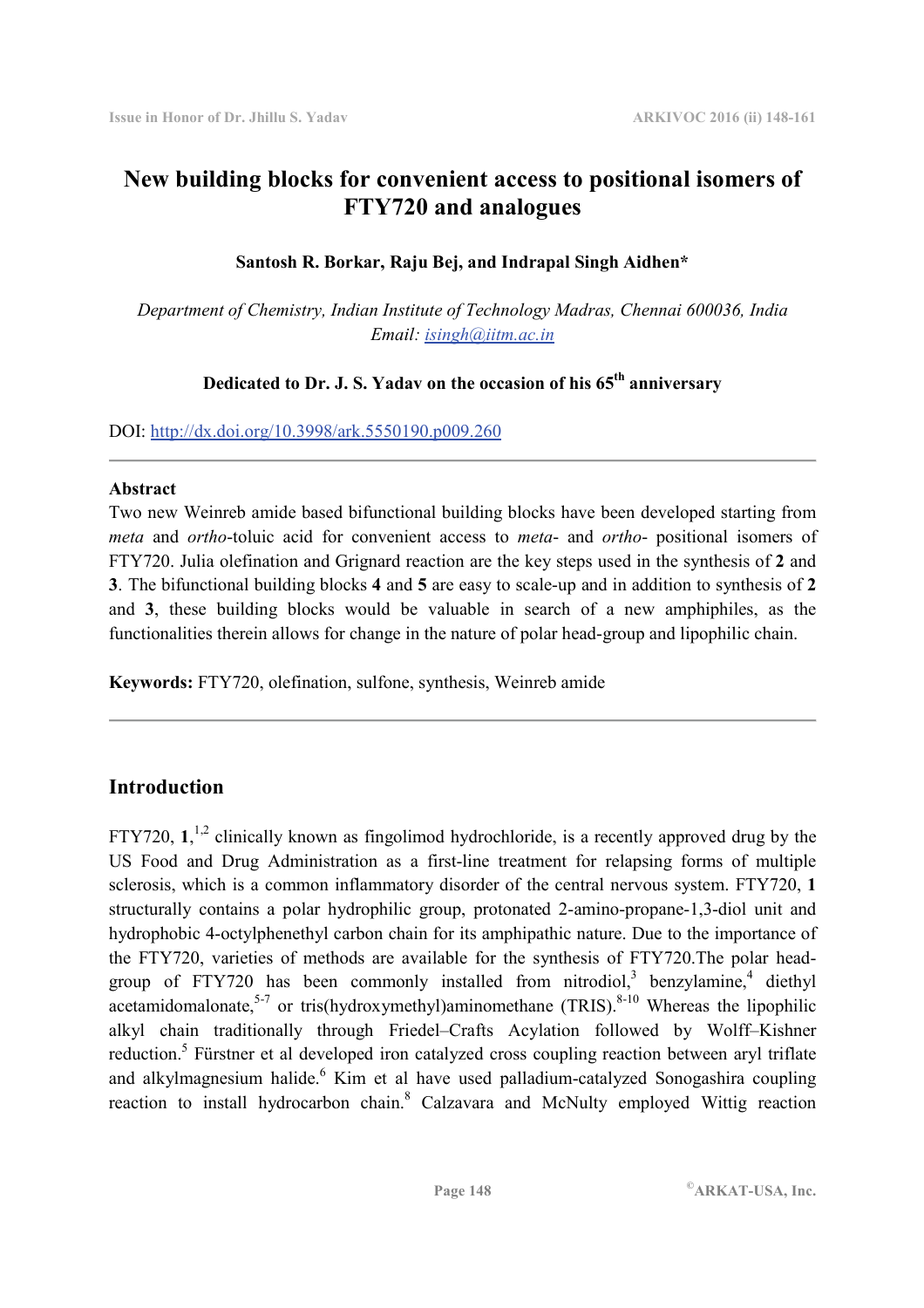# **New building blocks for convenient access to positional isomers of FTY720 and analogues**

### **Santosh R. Borkar, Raju Bej, and Indrapal Singh Aidhen\***

*Department of Chemistry, Indian Institute of Technology Madras, Chennai 600036, India Email: isingh@iitm.ac.in* 

# **Dedicated to Dr. J. S. Yadav on the occasion of his 65th anniversary**

DOI: http://dx.doi.org/10.3998/ark.5550190.p009.260

### **Abstract**

Two new Weinreb amide based bifunctional building blocks have been developed starting from *meta* and *ortho*-toluic acid for convenient access to *meta*- and *ortho*- positional isomers of FTY720. Julia olefination and Grignard reaction are the key steps used in the synthesis of **2** and **3**. The bifunctional building blocks **4** and **5** are easy to scale-up and in addition to synthesis of **2** and **3**, these building blocks would be valuable in search of a new amphiphiles, as the functionalities therein allows for change in the nature of polar head-group and lipophilic chain.

**Keywords:** FTY720, olefination, sulfone, synthesis, Weinreb amide

# **Introduction**

FTY720,  $1$ <sup>1,2</sup> clinically known as fingolimod hydrochloride, is a recently approved drug by the US Food and Drug Administration as a first-line treatment for relapsing forms of multiple sclerosis, which is a common inflammatory disorder of the central nervous system. FTY720, **1** structurally contains a polar hydrophilic group, protonated 2-amino-propane-1,3-diol unit and hydrophobic 4-octylphenethyl carbon chain for its amphipathic nature. Due to the importance of the FTY720, varieties of methods are available for the synthesis of FTY720.The polar headgroup of FTY720 has been commonly installed from nitrodiol,<sup>3</sup> benzylamine,<sup>4</sup> diethyl acetamidomalonate,<sup>5-7</sup> or tris(hydroxymethyl)aminomethane (TRIS).<sup>8-10</sup> Whereas the lipophilic alkyl chain traditionally through Friedel–Crafts Acylation followed by Wolff–Kishner reduction.<sup>5</sup> Fürstner et al developed iron catalyzed cross coupling reaction between aryl triflate and alkylmagnesium halide.<sup>6</sup> Kim et al have used palladium-catalyzed Sonogashira coupling reaction to install hydrocarbon chain.<sup>8</sup> Calzavara and McNulty employed Wittig reaction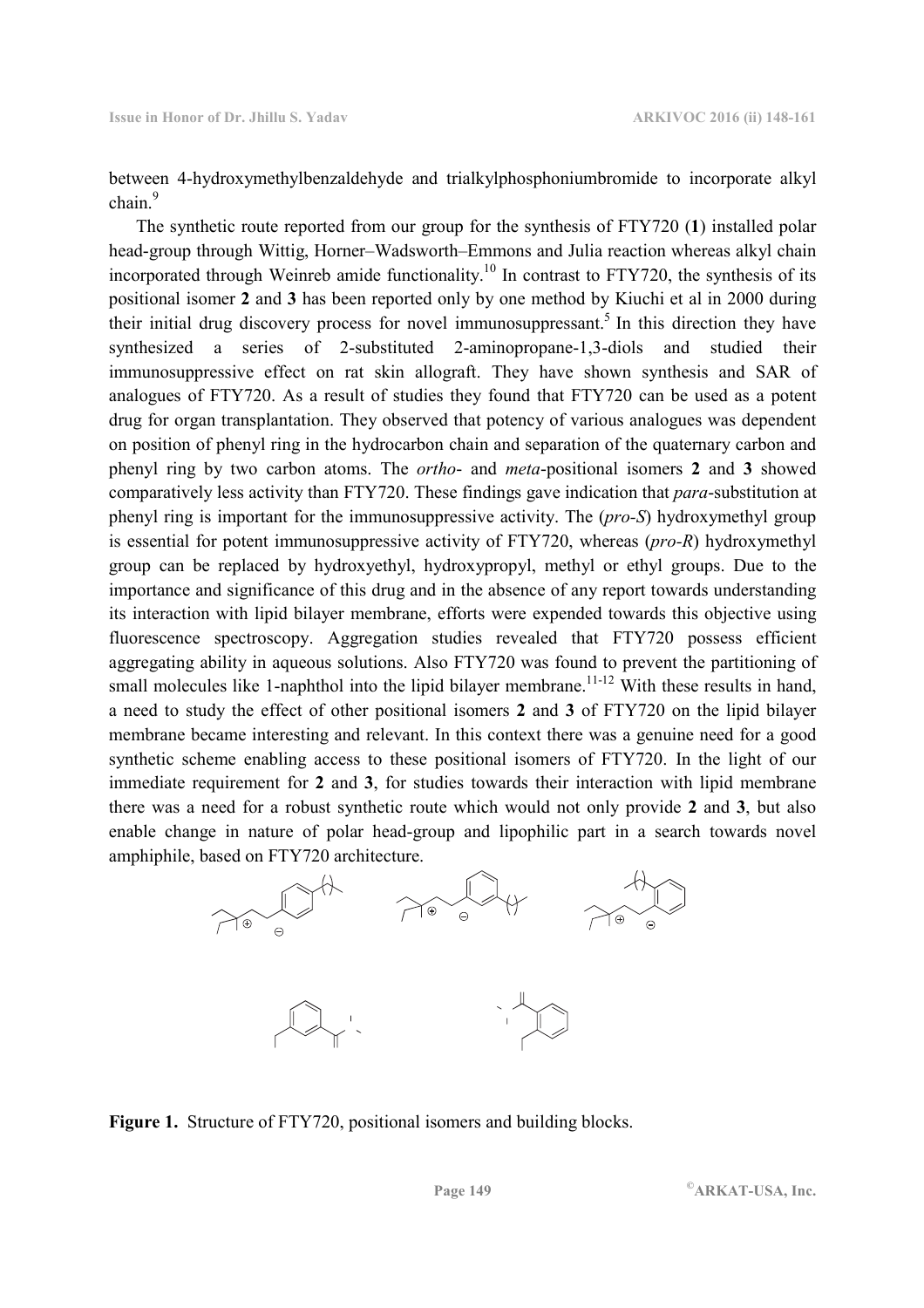between 4-hydroxymethylbenzaldehyde and trialkylphosphoniumbromide to incorporate alkyl chain.<sup>9</sup>

 The synthetic route reported from our group for the synthesis of FTY720 (**1**) installed polar head-group through Wittig, Horner–Wadsworth–Emmons and Julia reaction whereas alkyl chain incorporated through Weinreb amide functionality.<sup>10</sup> In contrast to FTY720, the synthesis of its positional isomer **2** and **3** has been reported only by one method by Kiuchi et al in 2000 during their initial drug discovery process for novel immunosuppressant.<sup>5</sup> In this direction they have synthesized a series of 2-substituted 2-aminopropane-1,3-diols and studied their immunosuppressive effect on rat skin allograft. They have shown synthesis and SAR of analogues of FTY720. As a result of studies they found that FTY720 can be used as a potent drug for organ transplantation. They observed that potency of various analogues was dependent on position of phenyl ring in the hydrocarbon chain and separation of the quaternary carbon and phenyl ring by two carbon atoms. The *ortho*- and *meta*-positional isomers **2** and **3** showed comparatively less activity than FTY720. These findings gave indication that *para*-substitution at phenyl ring is important for the immunosuppressive activity. The (*pro-S*) hydroxymethyl group is essential for potent immunosuppressive activity of FTY720, whereas (*pro-R*) hydroxymethyl group can be replaced by hydroxyethyl, hydroxypropyl, methyl or ethyl groups. Due to the importance and significance of this drug and in the absence of any report towards understanding its interaction with lipid bilayer membrane, efforts were expended towards this objective using fluorescence spectroscopy. Aggregation studies revealed that FTY720 possess efficient aggregating ability in aqueous solutions. Also FTY720 was found to prevent the partitioning of small molecules like 1-naphthol into the lipid bilayer membrane.<sup>11-12</sup> With these results in hand, a need to study the effect of other positional isomers **2** and **3** of FTY720 on the lipid bilayer membrane became interesting and relevant. In this context there was a genuine need for a good synthetic scheme enabling access to these positional isomers of FTY720. In the light of our immediate requirement for **2** and **3**, for studies towards their interaction with lipid membrane there was a need for a robust synthetic route which would not only provide **2** and **3**, but also enable change in nature of polar head-group and lipophilic part in a search towards novel amphiphile, based on FTY720 architecture.



**Figure 1.** Structure of FTY720, positional isomers and building blocks.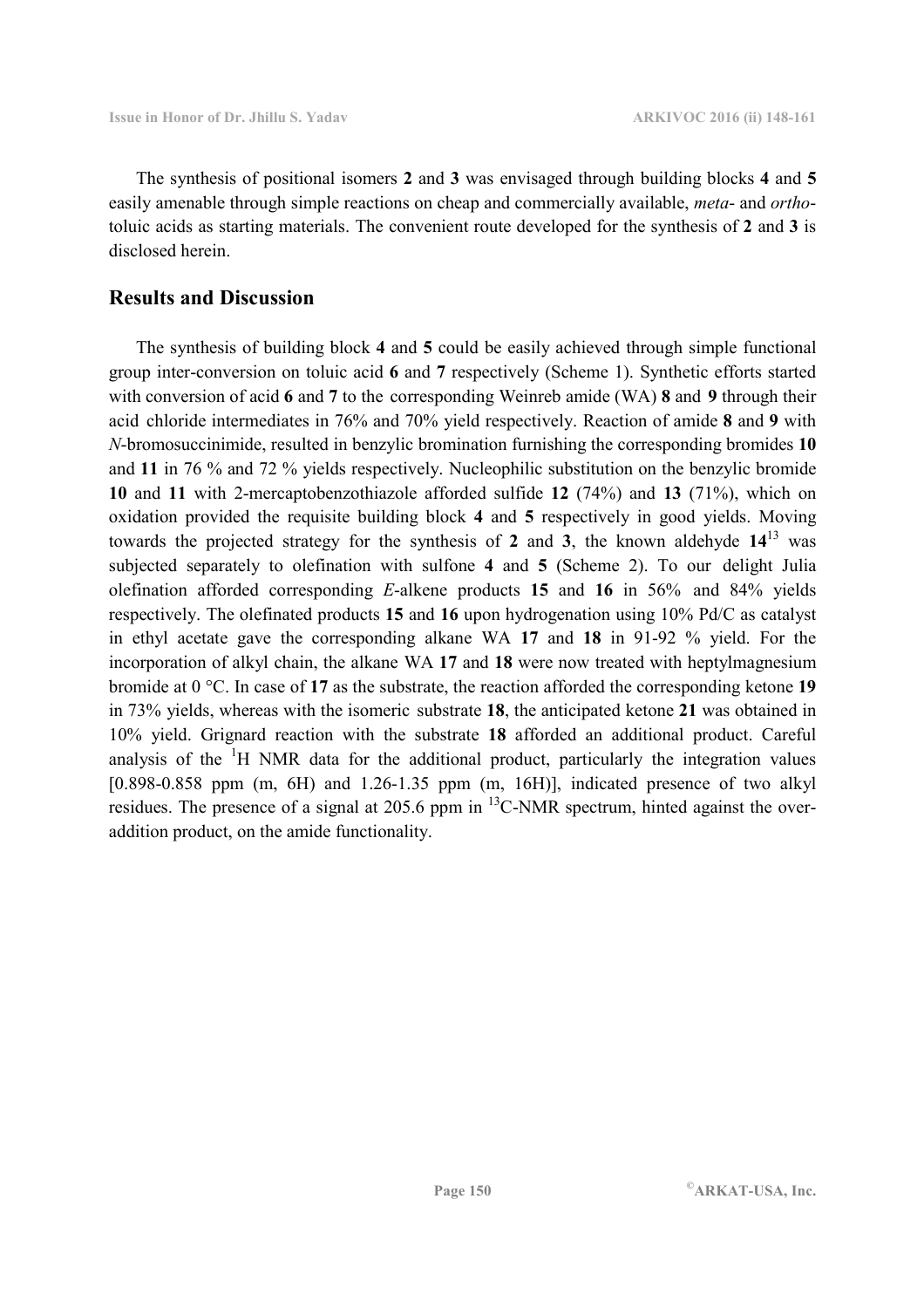The synthesis of positional isomers **2** and **3** was envisaged through building blocks **4** and **5**  easily amenable through simple reactions on cheap and commercially available, *meta*- and *ortho*toluic acids as starting materials. The convenient route developed for the synthesis of **2** and **3** is disclosed herein.

# **Results and Discussion**

 The synthesis of building block **4** and **5** could be easily achieved through simple functional group inter-conversion on toluic acid **6** and **7** respectively (Scheme 1). Synthetic efforts started with conversion of acid **6** and **7** to the corresponding Weinreb amide (WA) **8** and **9** through their acid chloride intermediates in 76% and 70% yield respectively. Reaction of amide **8** and **9** with *N*-bromosuccinimide, resulted in benzylic bromination furnishing the corresponding bromides **10** and **11** in 76 % and 72 % yields respectively. Nucleophilic substitution on the benzylic bromide **10** and **11** with 2-mercaptobenzothiazole afforded sulfide **12** (74%) and **13** (71%), which on oxidation provided the requisite building block **4** and **5** respectively in good yields. Moving towards the projected strategy for the synthesis of **2** and **3**, the known aldehyde **14**<sup>13</sup> was subjected separately to olefination with sulfone **4** and **5** (Scheme 2). To our delight Julia olefination afforded corresponding *E*-alkene products **15** and **16** in 56% and 84% yields respectively. The olefinated products **15** and **16** upon hydrogenation using 10% Pd/C as catalyst in ethyl acetate gave the corresponding alkane WA **17** and **18** in 91-92 % yield. For the incorporation of alkyl chain, the alkane WA **17** and **18** were now treated with heptylmagnesium bromide at 0 °C. In case of **17** as the substrate, the reaction afforded the corresponding ketone **19** in 73% yields, whereas with the isomeric substrate **18**, the anticipated ketone **21** was obtained in 10% yield. Grignard reaction with the substrate **18** afforded an additional product. Careful analysis of the <sup>1</sup>H NMR data for the additional product, particularly the integration values  $[0.898-0.858$  ppm  $(m, 6H)$  and  $1.26-1.35$  ppm  $(m, 16H)$ ], indicated presence of two alkyl residues. The presence of a signal at 205.6 ppm in <sup>13</sup>C-NMR spectrum, hinted against the overaddition product, on the amide functionality.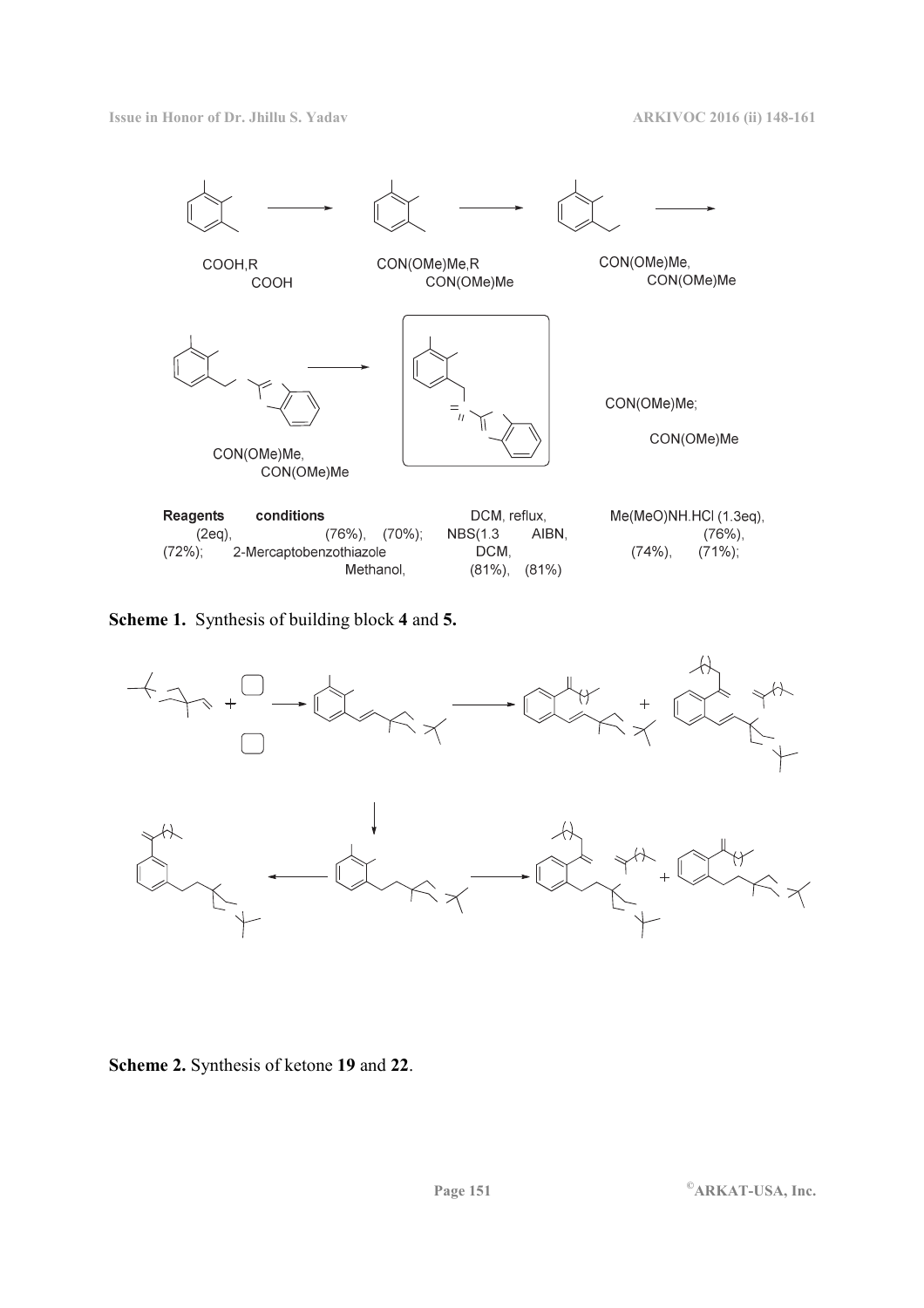

**Scheme 1.** Synthesis of building block **4** and **5.** 



**Scheme 2.** Synthesis of ketone **19** and **22**.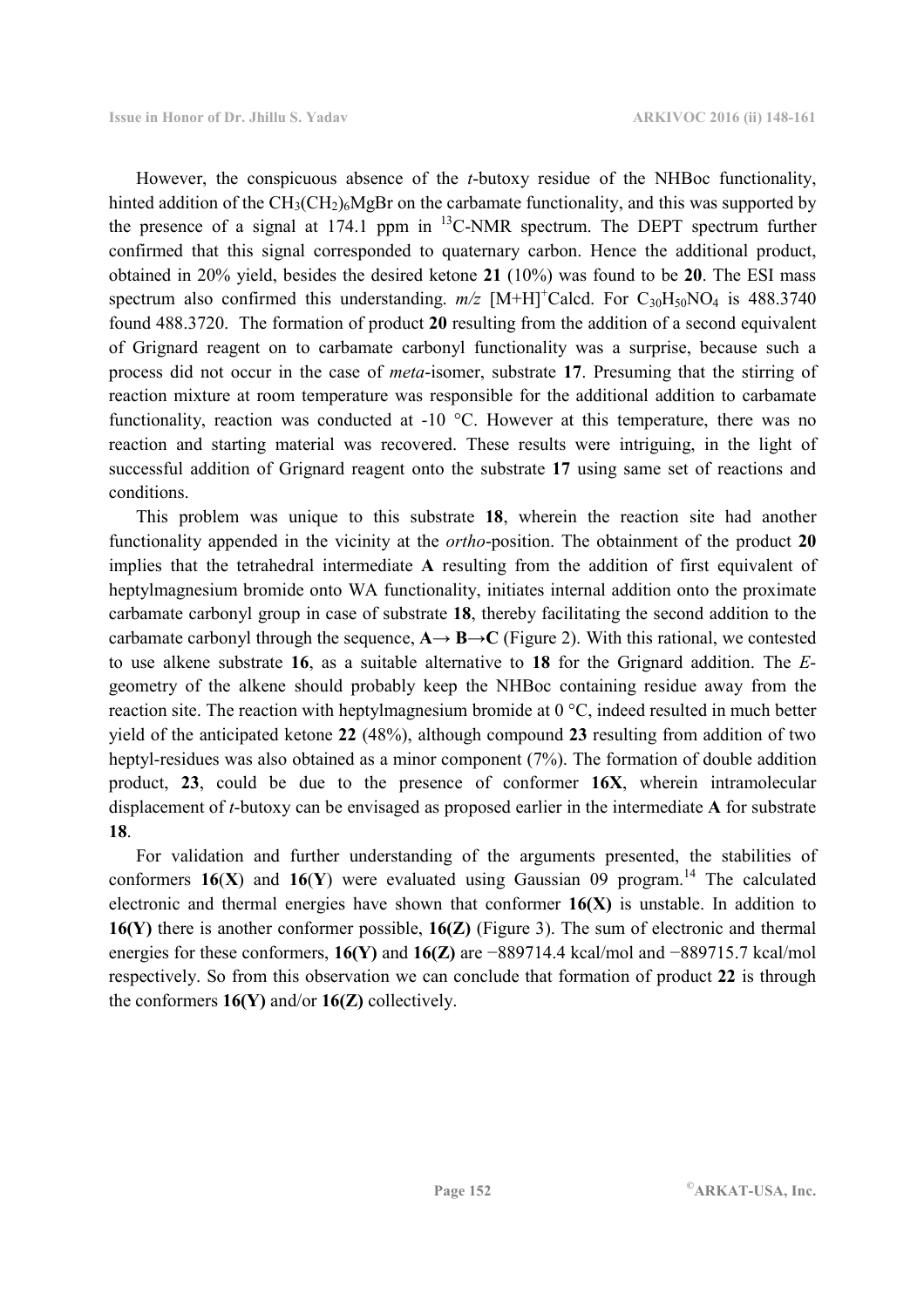However, the conspicuous absence of the *t*-butoxy residue of the NHBoc functionality, hinted addition of the  $CH_3(CH_2)_{6}M \& Br$  on the carbamate functionality, and this was supported by the presence of a signal at  $174.1$  ppm in  $^{13}$ C-NMR spectrum. The DEPT spectrum further confirmed that this signal corresponded to quaternary carbon. Hence the additional product, obtained in 20% yield, besides the desired ketone **21** (10%) was found to be **20**. The ESI mass spectrum also confirmed this understanding.  $m/z$  [M+H]<sup>+</sup>Calcd. For C<sub>30</sub>H<sub>50</sub>NO<sub>4</sub> is 488.3740 found 488.3720. The formation of product **20** resulting from the addition of a second equivalent of Grignard reagent on to carbamate carbonyl functionality was a surprise, because such a process did not occur in the case of *meta*-isomer, substrate **17**. Presuming that the stirring of reaction mixture at room temperature was responsible for the additional addition to carbamate functionality, reaction was conducted at -10 °C. However at this temperature, there was no reaction and starting material was recovered. These results were intriguing, in the light of successful addition of Grignard reagent onto the substrate **17** using same set of reactions and conditions.

 This problem was unique to this substrate **18**, wherein the reaction site had another functionality appended in the vicinity at the *ortho*-position. The obtainment of the product **20** implies that the tetrahedral intermediate **A** resulting from the addition of first equivalent of heptylmagnesium bromide onto WA functionality, initiates internal addition onto the proximate carbamate carbonyl group in case of substrate **18**, thereby facilitating the second addition to the carbamate carbonyl through the sequence,  $\mathbf{A} \rightarrow \mathbf{B} \rightarrow \mathbf{C}$  (Figure 2). With this rational, we contested to use alkene substrate **16**, as a suitable alternative to **18** for the Grignard addition. The *E*geometry of the alkene should probably keep the NHBoc containing residue away from the reaction site. The reaction with heptylmagnesium bromide at 0 °C, indeed resulted in much better yield of the anticipated ketone **22** (48%), although compound **23** resulting from addition of two heptyl-residues was also obtained as a minor component (7%). The formation of double addition product, **23**, could be due to the presence of conformer **16X**, wherein intramolecular displacement of *t*-butoxy can be envisaged as proposed earlier in the intermediate **A** for substrate **18**.

 For validation and further understanding of the arguments presented, the stabilities of conformers  $16(X)$  and  $16(Y)$  were evaluated using Gaussian 09 program.<sup>14</sup> The calculated electronic and thermal energies have shown that conformer **16(X)** is unstable. In addition to **16(Y)** there is another conformer possible, **16(Z)** (Figure 3). The sum of electronic and thermal energies for these conformers, **16(Y)** and **16(Z)** are −889714.4 kcal/mol and −889715.7 kcal/mol respectively. So from this observation we can conclude that formation of product **22** is through the conformers **16(Y)** and/or **16(Z)** collectively.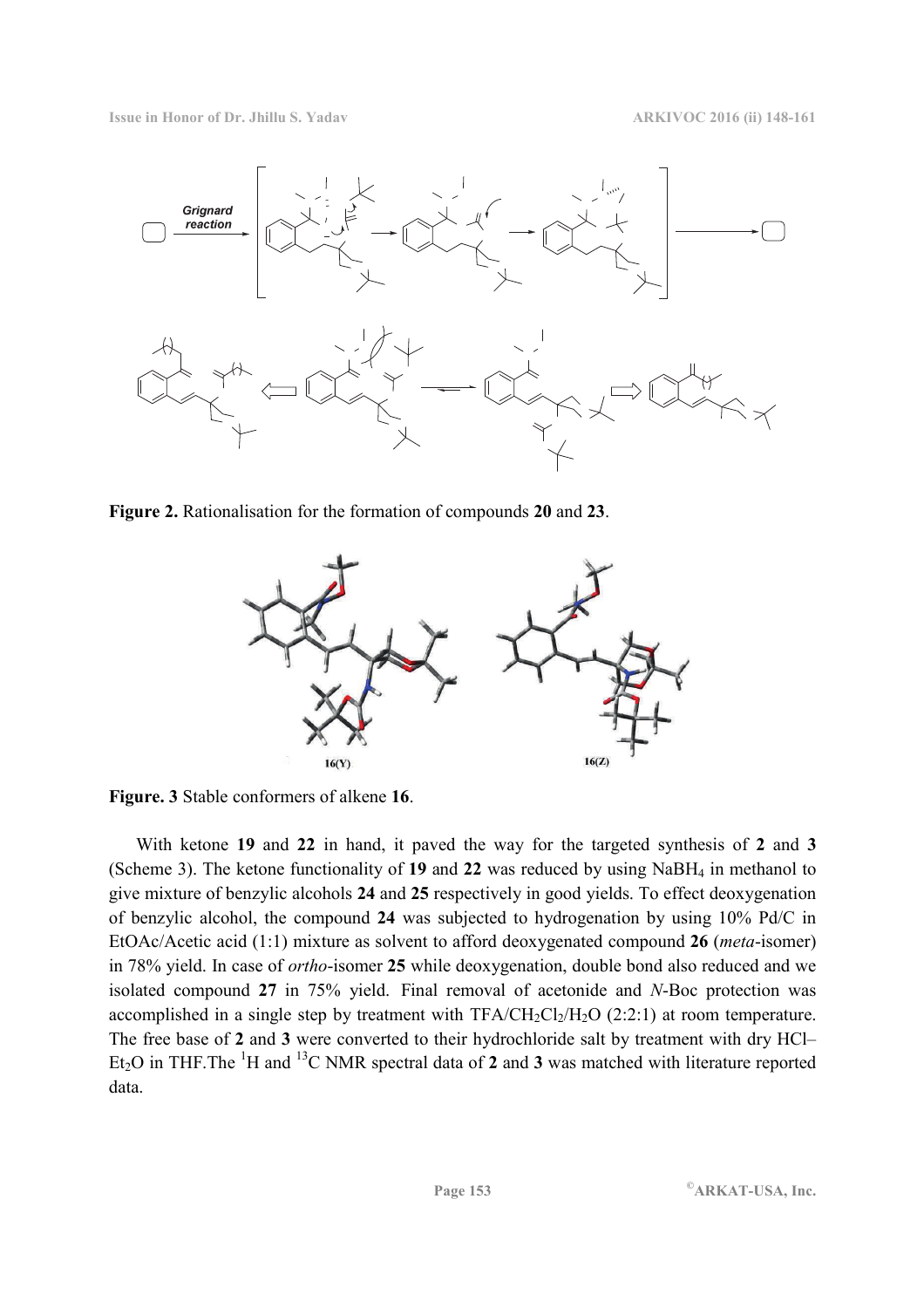**Issue in Honor of Dr. Jhillu S. Yadav ARKIVOC 2016 (ii) 148-161**



**Figure 2.** Rationalisation for the formation of compounds **20** and **23**.



**Figure. 3** Stable conformers of alkene **16**.

 With ketone **19** and **22** in hand, it paved the way for the targeted synthesis of **2** and **3**  (Scheme 3). The ketone functionality of **19** and **22** was reduced by using NaBH4 in methanol to give mixture of benzylic alcohols **24** and **25** respectively in good yields. To effect deoxygenation of benzylic alcohol, the compound **24** was subjected to hydrogenation by using 10% Pd/C in EtOAc/Acetic acid (1:1) mixture as solvent to afford deoxygenated compound **26** (*meta*-isomer) in 78% yield. In case of *ortho*-isomer **25** while deoxygenation, double bond also reduced and we isolated compound **27** in 75% yield. Final removal of acetonide and *N*-Boc protection was accomplished in a single step by treatment with  $TFA/CH_2Cl_2/H_2O$  (2:2:1) at room temperature. The free base of **2** and **3** were converted to their hydrochloride salt by treatment with dry HCl– Et<sub>2</sub>O in THF. The  ${}^{1}H$  and  ${}^{13}C$  NMR spectral data of 2 and 3 was matched with literature reported data.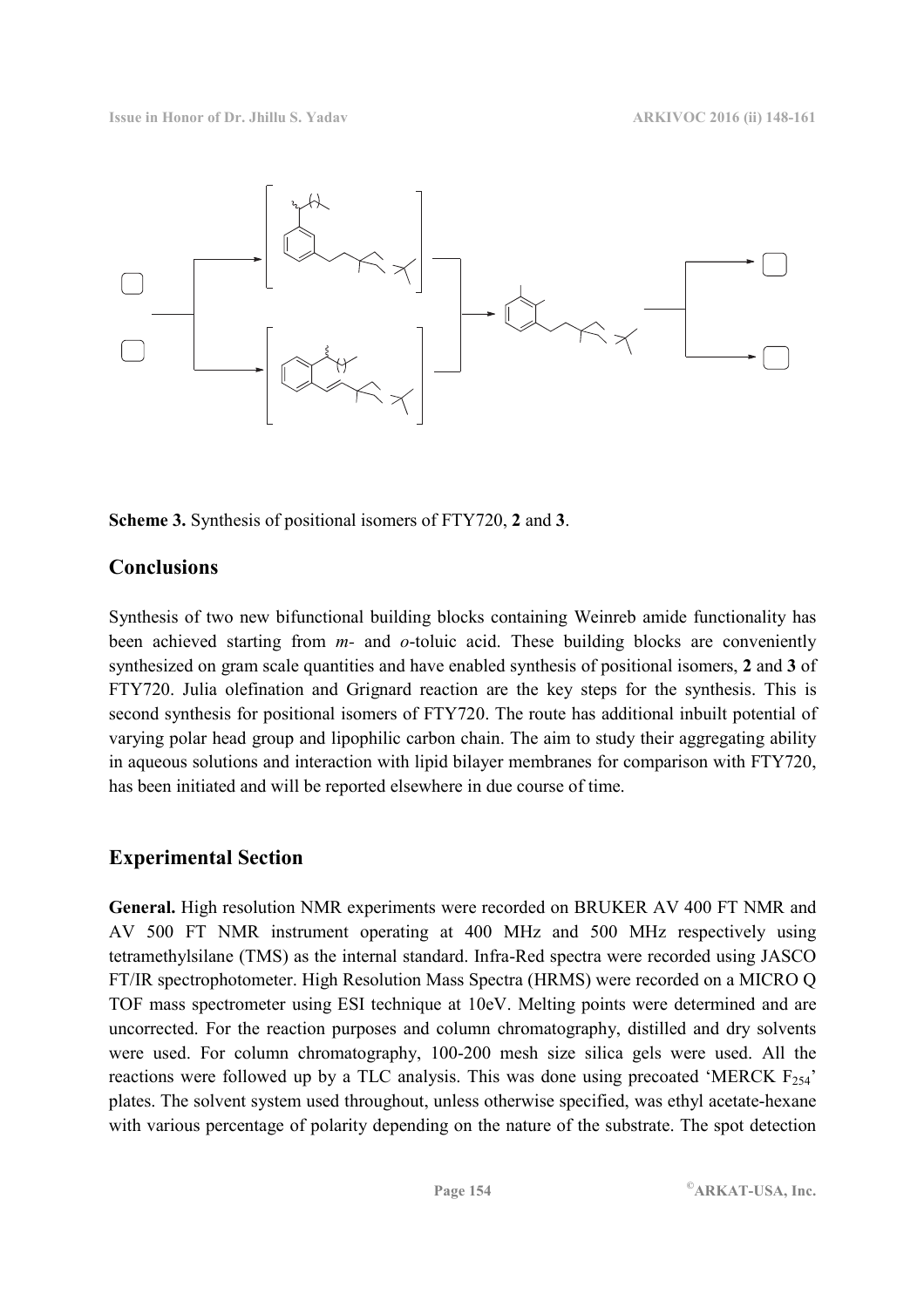

**Scheme 3.** Synthesis of positional isomers of FTY720, **2** and **3**.

# **Conclusions**

Synthesis of two new bifunctional building blocks containing Weinreb amide functionality has been achieved starting from *m-* and *o*-toluic acid. These building blocks are conveniently synthesized on gram scale quantities and have enabled synthesis of positional isomers, **2** and **3** of FTY720. Julia olefination and Grignard reaction are the key steps for the synthesis. This is second synthesis for positional isomers of FTY720. The route has additional inbuilt potential of varying polar head group and lipophilic carbon chain. The aim to study their aggregating ability in aqueous solutions and interaction with lipid bilayer membranes for comparison with FTY720, has been initiated and will be reported elsewhere in due course of time.

# **Experimental Section**

**General.** High resolution NMR experiments were recorded on BRUKER AV 400 FT NMR and AV 500 FT NMR instrument operating at 400 MHz and 500 MHz respectively using tetramethylsilane (TMS) as the internal standard. Infra-Red spectra were recorded using JASCO FT/IR spectrophotometer. High Resolution Mass Spectra (HRMS) were recorded on a MICRO Q TOF mass spectrometer using ESI technique at 10eV. Melting points were determined and are uncorrected. For the reaction purposes and column chromatography, distilled and dry solvents were used. For column chromatography, 100-200 mesh size silica gels were used. All the reactions were followed up by a TLC analysis. This was done using precoated 'MERCK  $F_{254}$ ' plates. The solvent system used throughout, unless otherwise specified, was ethyl acetate-hexane with various percentage of polarity depending on the nature of the substrate. The spot detection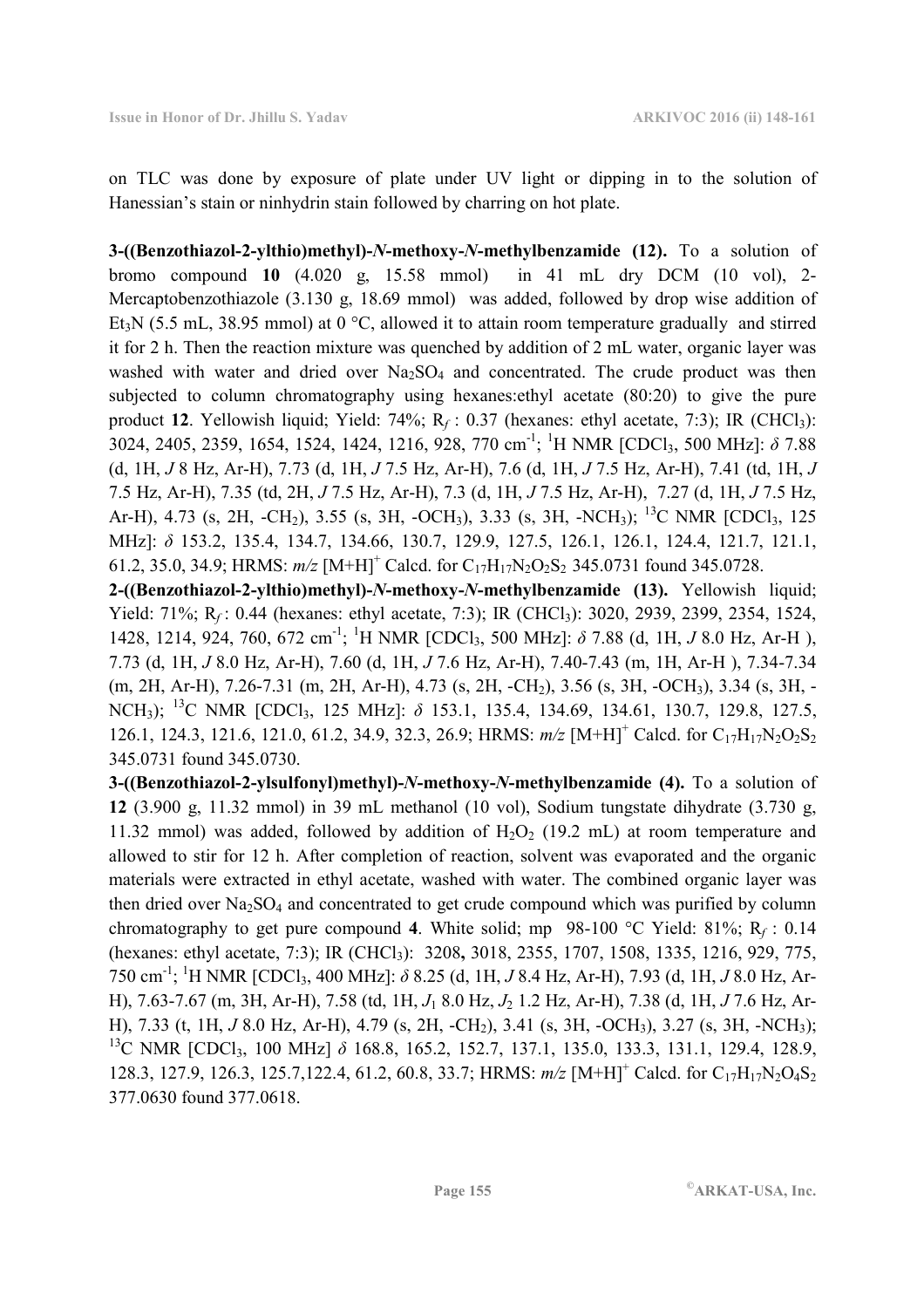on TLC was done by exposure of plate under UV light or dipping in to the solution of Hanessian's stain or ninhydrin stain followed by charring on hot plate.

**3-((Benzothiazol-2-ylthio)methyl)-***N***-methoxy-***N***-methylbenzamide (12).** To a solution of bromo compound **10** (4.020 g, 15.58 mmol) in 41 mL dry DCM (10 vol), 2- Mercaptobenzothiazole (3.130 g, 18.69 mmol) was added, followed by drop wise addition of Et<sub>3</sub>N (5.5 mL, 38.95 mmol) at 0 °C, allowed it to attain room temperature gradually and stirred it for 2 h. Then the reaction mixture was quenched by addition of 2 mL water, organic layer was washed with water and dried over  $Na<sub>2</sub>SO<sub>4</sub>$  and concentrated. The crude product was then subjected to column chromatography using hexanes:ethyl acetate (80:20) to give the pure product **12**. Yellowish liquid; Yield: 74%; R<sub>f</sub>: 0.37 (hexanes: ethyl acetate, 7:3); IR (CHCl<sub>3</sub>): 3024, 2405, 2359, 1654, 1524, 1424, 1216, 928, 770 cm-1; <sup>1</sup>H NMR [CDCl3, 500 MHz]: *δ* 7.88 (d, 1H, *J* 8 Hz, Ar-H), 7.73 (d, 1H, *J* 7.5 Hz, Ar-H), 7.6 (d, 1H, *J* 7.5 Hz, Ar-H), 7.41 (td, 1H, *J*  7.5 Hz, Ar-H), 7.35 (td, 2H, *J* 7.5 Hz, Ar-H), 7.3 (d, 1H, *J* 7.5 Hz, Ar-H), 7.27 (d, 1H, *J* 7.5 Hz, Ar-H), 4.73 (s, 2H, -CH<sub>2</sub>), 3.55 (s, 3H, -OCH<sub>3</sub>), 3.33 (s, 3H, -NCH<sub>3</sub>); <sup>13</sup>C NMR [CDCl<sub>3</sub>, 125] MHz]: *δ* 153.2, 135.4, 134.7, 134.66, 130.7, 129.9, 127.5, 126.1, 126.1, 124.4, 121.7, 121.1, 61.2, 35.0, 34.9; HRMS:  $m/z$  [M+H]<sup>+</sup> Calcd. for C<sub>17</sub>H<sub>17</sub>N<sub>2</sub>O<sub>2</sub>S<sub>2</sub> 345.0731 found 345.0728.

**2-((Benzothiazol-2-ylthio)methyl)-***N***-methoxy-***N***-methylbenzamide (13).** Yellowish liquid; Yield: 71%; R<sub>f</sub>: 0.44 (hexanes: ethyl acetate, 7:3); IR (CHCl<sub>3</sub>): 3020, 2939, 2399, 2354, 1524, 1428, 1214, 924, 760, 672 cm-1; <sup>1</sup>H NMR [CDCl3, 500 MHz]: *δ* 7.88 (d, 1H, *J* 8.0 Hz, Ar-H ), 7.73 (d, 1H, *J* 8.0 Hz, Ar-H), 7.60 (d, 1H, *J* 7.6 Hz, Ar-H), 7.40-7.43 (m, 1H, Ar-H ), 7.34-7.34 (m, 2H, Ar-H), 7.26-7.31 (m, 2H, Ar-H), 4.73 (s, 2H, -CH2), 3.56 (s, 3H, -OCH3), 3.34 (s, 3H, - NCH3); <sup>13</sup>C NMR [CDCl3, 125 MHz]: *δ* 153.1, 135.4, 134.69, 134.61, 130.7, 129.8, 127.5, 126.1, 124.3, 121.6, 121.0, 61.2, 34.9, 32.3, 26.9; HRMS:  $m/z$  [M+H]<sup>+</sup> Calcd. for C<sub>17</sub>H<sub>17</sub>N<sub>2</sub>O<sub>2</sub>S<sub>2</sub> 345.0731 found 345.0730.

**3-((Benzothiazol-2-ylsulfonyl)methyl)-***N***-methoxy-***N***-methylbenzamide (4).** To a solution of **12** (3.900 g, 11.32 mmol) in 39 mL methanol (10 vol), Sodium tungstate dihydrate (3.730 g, 11.32 mmol) was added, followed by addition of  $H_2O_2$  (19.2 mL) at room temperature and allowed to stir for 12 h. After completion of reaction, solvent was evaporated and the organic materials were extracted in ethyl acetate, washed with water. The combined organic layer was then dried over  $Na<sub>2</sub>SO<sub>4</sub>$  and concentrated to get crude compound which was purified by column chromatography to get pure compound **4**. White solid; mp 98-100 °C Yield: 81%; R*<sup>f</sup>* : 0.14 (hexanes: ethyl acetate, 7:3); IR (CHCl3):3208**,** 3018, 2355, 1707, 1508, 1335, 1216, 929, 775, 750 cm-1; <sup>1</sup>H NMR [CDCl3, 400 MHz]: *δ* 8.25 (d, 1H, *J* 8.4 Hz, Ar-H), 7.93 (d, 1H, *J* 8.0 Hz, Ar-H), 7.63-7.67 (m, 3H, Ar-H), 7.58 (td, 1H, *J*1 8.0 Hz, *J*2 1.2 Hz, Ar-H), 7.38 (d, 1H, *J* 7.6 Hz, Ar-H), 7.33 (t, 1H, *J* 8.0 Hz, Ar-H), 4.79 (s, 2H, -CH2), 3.41 (s, 3H, -OCH3), 3.27 (s, 3H, -NCH3); <sup>13</sup>C NMR [CDCl<sub>3</sub>, 100 MHz] δ 168.8, 165.2, 152.7, 137.1, 135.0, 133.3, 131.1, 129.4, 128.9, 128.3, 127.9, 126.3, 125.7, 122.4, 61.2, 60.8, 33.7; HRMS:  $m/z$  [M+H]<sup>+</sup> Calcd. for C<sub>17</sub>H<sub>17</sub>N<sub>2</sub>O<sub>4</sub>S<sub>2</sub> 377.0630 found 377.0618.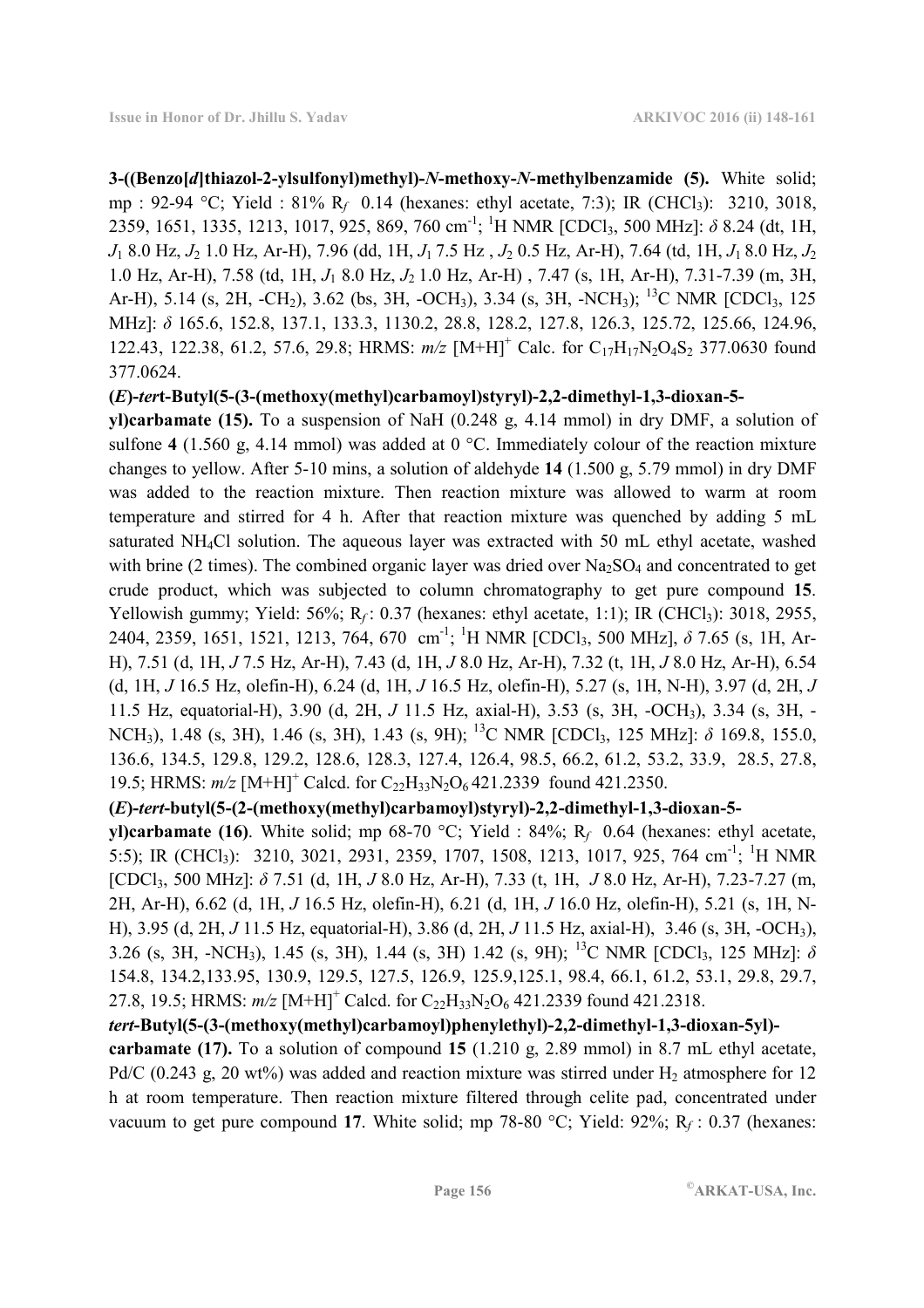**3-((Benzo[***d***]thiazol-2-ylsulfonyl)methyl)-***N***-methoxy-***N***-methylbenzamide (5).** White solid; mp : 92-94 °C; Yield : 81% R<sub>f</sub> 0.14 (hexanes: ethyl acetate, 7:3); IR (CHCl<sub>3</sub>): 3210, 3018, 2359, 1651, 1335, 1213, 1017, 925, 869, 760 cm-1; <sup>1</sup>H NMR [CDCl3, 500 MHz]: *δ* 8.24 (dt, 1H, *J*1 8.0 Hz, *J*2 1.0 Hz, Ar-H), 7.96 (dd, 1H, *J*1 7.5 Hz , *J*2 0.5 Hz, Ar-H), 7.64 (td, 1H, *J*1 8.0 Hz, *J*<sup>2</sup> 1.0 Hz, Ar-H), 7.58 (td, 1H, *J*1 8.0 Hz, *J*2 1.0 Hz, Ar-H) , 7.47 (s, 1H, Ar-H), 7.31-7.39 (m, 3H, Ar-H), 5.14 (s, 2H, -CH<sub>2</sub>), 3.62 (bs, 3H, -OCH<sub>3</sub>), 3.34 (s, 3H, -NCH<sub>3</sub>); <sup>13</sup>C NMR [CDCl<sub>3</sub>, 125] MHz]: *δ* 165.6, 152.8, 137.1, 133.3, 1130.2, 28.8, 128.2, 127.8, 126.3, 125.72, 125.66, 124.96, 122.43, 122.38, 61.2, 57.6, 29.8; HRMS:  $m/z$  [M+H]<sup>+</sup> Calc. for C<sub>17</sub>H<sub>17</sub>N<sub>2</sub>O<sub>4</sub>S<sub>2</sub> 377.0630 found 377.0624.

#### **(***E***)-***ter***t-Butyl(5-(3-(methoxy(methyl)carbamoyl)styryl)-2,2-dimethyl-1,3-dioxan-5-**

**yl)carbamate (15).** To a suspension of NaH (0.248 g, 4.14 mmol) in dry DMF, a solution of sulfone **4** (1.560 g, 4.14 mmol) was added at 0 °C. Immediately colour of the reaction mixture changes to yellow. After 5-10 mins, a solution of aldehyde **14** (1.500 g, 5.79 mmol) in dry DMF was added to the reaction mixture. Then reaction mixture was allowed to warm at room temperature and stirred for 4 h. After that reaction mixture was quenched by adding 5 mL saturated NH4Cl solution. The aqueous layer was extracted with 50 mL ethyl acetate, washed with brine (2 times). The combined organic layer was dried over  $Na<sub>2</sub>SO<sub>4</sub>$  and concentrated to get crude product, which was subjected to column chromatography to get pure compound **15**. Yellowish gummy; Yield: 56%; R<sub>f</sub>: 0.37 (hexanes: ethyl acetate, 1:1); IR (CHCl<sub>3</sub>): 3018, 2955, 2404, 2359, 1651, 1521, 1213, 764, 670 cm-1; <sup>1</sup>H NMR [CDCl3, 500 MHz], *δ* 7.65 (s, 1H, Ar-H), 7.51 (d, 1H, *J* 7.5 Hz, Ar-H), 7.43 (d, 1H, *J* 8.0 Hz, Ar-H), 7.32 (t, 1H, *J* 8.0 Hz, Ar-H), 6.54 (d, 1H, *J* 16.5 Hz, olefin-H), 6.24 (d, 1H, *J* 16.5 Hz, olefin-H), 5.27 (s, 1H, N-H), 3.97 (d, 2H, *J*  11.5 Hz, equatorial-H), 3.90 (d, 2H, *J* 11.5 Hz, axial-H), 3.53 (s, 3H, -OCH3), 3.34 (s, 3H, - NCH3), 1.48 (s, 3H), 1.46 (s, 3H), 1.43 (s, 9H); <sup>13</sup>C NMR [CDCl3, 125 MHz]: *δ* 169.8, 155.0, 136.6, 134.5, 129.8, 129.2, 128.6, 128.3, 127.4, 126.4, 98.5, 66.2, 61.2, 53.2, 33.9, 28.5, 27.8, 19.5; HRMS:  $m/z$  [M+H]<sup>+</sup> Calcd. for C<sub>22</sub>H<sub>33</sub>N<sub>2</sub>O<sub>6</sub>421.2339 found 421.2350.

### **(***E***)-***tert***-butyl(5-(2-(methoxy(methyl)carbamoyl)styryl)-2,2-dimethyl-1,3-dioxan-5-**

**yl)carbamate (16)**. White solid; mp 68-70 °C; Yield : 84%; R*<sup>f</sup>* 0.64 (hexanes: ethyl acetate, 5:5); IR (CHCl<sub>3</sub>): 3210, 3021, 2931, 2359, 1707, 1508, 1213, 1017, 925, 764 cm<sup>-1</sup>; <sup>1</sup>H NMR [CDCl3, 500 MHz]: *δ* 7.51 (d, 1H, *J* 8.0 Hz, Ar-H), 7.33 (t, 1H, *J* 8.0 Hz, Ar-H), 7.23-7.27 (m, 2H, Ar-H), 6.62 (d, 1H, *J* 16.5 Hz, olefin-H), 6.21 (d, 1H, *J* 16.0 Hz, olefin-H), 5.21 (s, 1H, N-H), 3.95 (d, 2H, *J* 11.5 Hz, equatorial-H), 3.86 (d, 2H, *J* 11.5 Hz, axial-H), 3.46 (s, 3H, -OCH3), 3.26 (s, 3H, -NCH3), 1.45 (s, 3H), 1.44 (s, 3H) 1.42 (s, 9H); <sup>13</sup>C NMR [CDCl3, 125 MHz]: *δ* 154.8, 134.2,133.95, 130.9, 129.5, 127.5, 126.9, 125.9,125.1, 98.4, 66.1, 61.2, 53.1, 29.8, 29.7, 27.8, 19.5; HRMS:  $m/z$  [M+H]<sup>+</sup> Calcd. for C<sub>22</sub>H<sub>33</sub>N<sub>2</sub>O<sub>6</sub> 421.2339 found 421.2318.

### *tert***-Butyl(5-(3-(methoxy(methyl)carbamoyl)phenylethyl)-2,2-dimethyl-1,3-dioxan-5yl)-**

**carbamate (17).** To a solution of compound **15** (1.210 g, 2.89 mmol) in 8.7 mL ethyl acetate, Pd/C (0.243 g, 20 wt%) was added and reaction mixture was stirred under  $H_2$  atmosphere for 12 h at room temperature. Then reaction mixture filtered through celite pad, concentrated under vacuum to get pure compound **17**. White solid; mp 78-80 °C; Yield: 92%; R*<sup>f</sup>* : 0.37 (hexanes: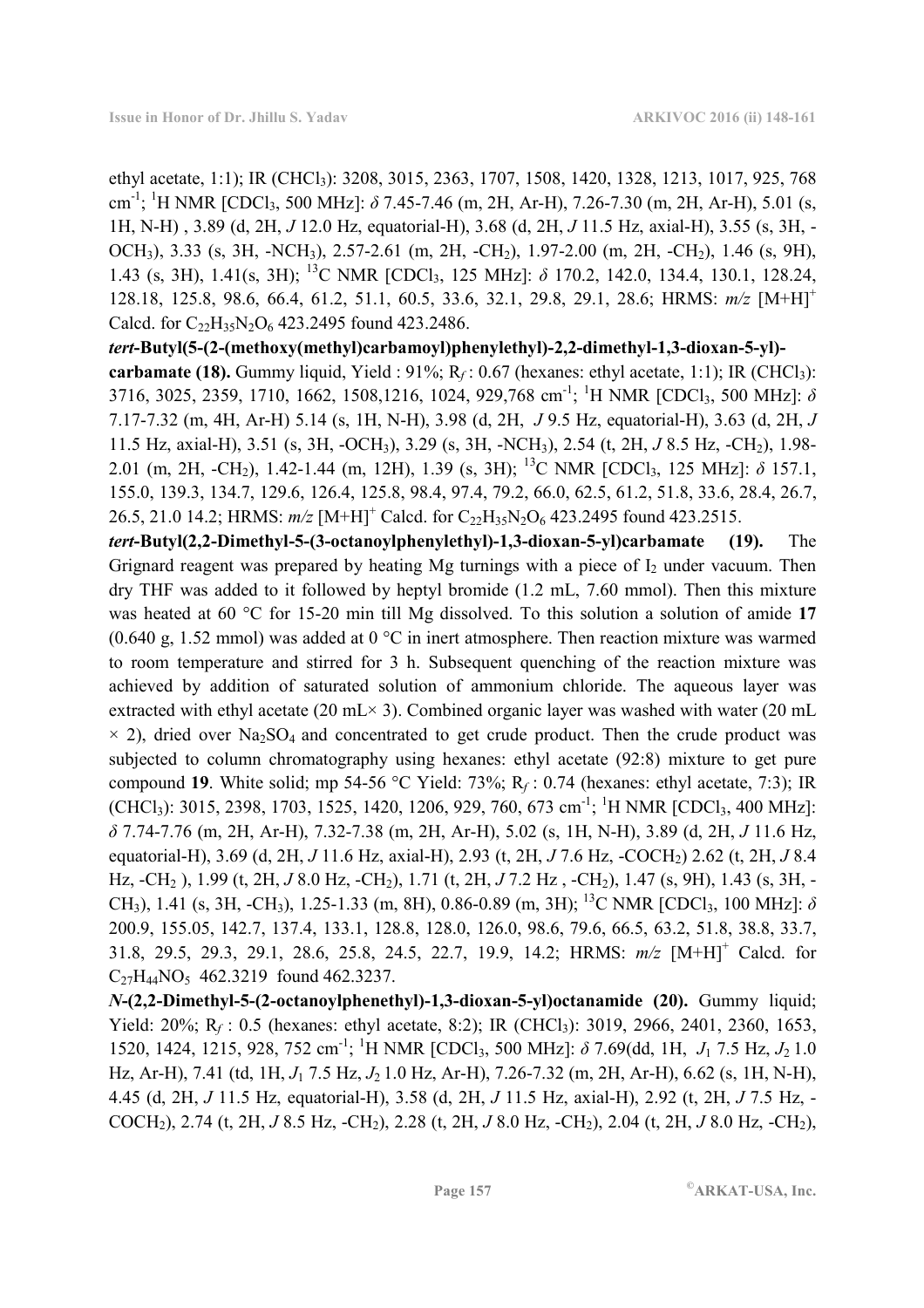ethyl acetate, 1:1); IR (CHCl<sub>3</sub>): 3208, 3015, 2363, 1707, 1508, 1420, 1328, 1213, 1017, 925, 768 cm<sup>-1</sup>; <sup>1</sup>H NMR [CDCl<sub>3</sub>, 500 MHz]: δ 7.45-7.46 (m, 2H, Ar-H), 7.26-7.30 (m, 2H, Ar-H), 5.01 (s, 1H, N-H) , 3.89 (d, 2H, *J* 12.0 Hz, equatorial-H), 3.68 (d, 2H, *J* 11.5 Hz, axial-H), 3.55 (s, 3H, - OCH<sub>3</sub>), 3.33 (s, 3H, -NCH<sub>3</sub>), 2.57-2.61 (m, 2H, -CH<sub>2</sub>), 1.97-2.00 (m, 2H, -CH<sub>2</sub>), 1.46 (s, 9H), 1.43 (s, 3H), 1.41(s, 3H); <sup>13</sup>C NMR [CDCl3, 125 MHz]: *δ* 170.2, 142.0, 134.4, 130.1, 128.24, 128.18, 125.8, 98.6, 66.4, 61.2, 51.1, 60.5, 33.6, 32.1, 29.8, 29.1, 28.6; HRMS: *m/z* [M+H]<sup>+</sup> Calcd. for C<sub>22</sub>H<sub>35</sub>N<sub>2</sub>O<sub>6</sub> 423.2495 found 423.2486.

*tert***-Butyl(5-(2-(methoxy(methyl)carbamoyl)phenylethyl)-2,2-dimethyl-1,3-dioxan-5-yl) carbamate (18).** Gummy liquid, Yield :  $91\%$ ; R<sub>f</sub> : 0.67 (hexanes: ethyl acetate, 1:1); IR (CHCl<sub>3</sub>): 3716, 3025, 2359, 1710, 1662, 1508,1216, 1024, 929,768 cm-1; <sup>1</sup>H NMR [CDCl3, 500 MHz]: *δ* 7.17-7.32 (m, 4H, Ar-H) 5.14 (s, 1H, N-H), 3.98 (d, 2H, *J* 9.5 Hz, equatorial-H), 3.63 (d, 2H, *J* 11.5 Hz, axial-H), 3.51 (s, 3H, -OCH3), 3.29 (s, 3H, -NCH3), 2.54 (t, 2H, *J* 8.5 Hz, -CH2), 1.98- 2.01 (m, 2H, -CH2), 1.42-1.44 (m, 12H), 1.39 (s, 3H); <sup>13</sup>C NMR [CDCl3, 125 MHz]: *δ* 157.1, 155.0, 139.3, 134.7, 129.6, 126.4, 125.8, 98.4, 97.4, 79.2, 66.0, 62.5, 61.2, 51.8, 33.6, 28.4, 26.7, 26.5, 21.0 14.2; HRMS:  $m/z$  [M+H]<sup>+</sup> Calcd. for C<sub>22</sub>H<sub>35</sub>N<sub>2</sub>O<sub>6</sub> 423.2495 found 423.2515.

*tert***-Butyl(2,2-Dimethyl-5-(3-octanoylphenylethyl)-1,3-dioxan-5-yl)carbamate (19).** The Grignard reagent was prepared by heating Mg turnings with a piece of  $I_2$  under vacuum. Then dry THF was added to it followed by heptyl bromide (1.2 mL, 7.60 mmol). Then this mixture was heated at 60 °C for 15-20 min till Mg dissolved. To this solution a solution of amide **17**  $(0.640 \text{ g}, 1.52 \text{ mmol})$  was added at  $0 \degree C$  in inert atmosphere. Then reaction mixture was warmed to room temperature and stirred for 3 h. Subsequent quenching of the reaction mixture was achieved by addition of saturated solution of ammonium chloride. The aqueous layer was extracted with ethyl acetate (20 mL $\times$  3). Combined organic layer was washed with water (20 mL  $\times$  2), dried over Na<sub>2</sub>SO<sub>4</sub> and concentrated to get crude product. Then the crude product was subjected to column chromatography using hexanes: ethyl acetate (92:8) mixture to get pure compound **19**. White solid; mp 54-56 °C Yield: 73%; R*<sup>f</sup>* : 0.74 (hexanes: ethyl acetate, 7:3); IR  $(CHCl<sub>3</sub>)$ : 3015, 2398, 1703, 1525, 1420, 1206, 929, 760, 673 cm<sup>-1</sup>; <sup>1</sup>H NMR  $[CDCl<sub>3</sub>, 400 MHz]$ : *δ* 7.74-7.76 (m, 2H, Ar-H), 7.32-7.38 (m, 2H, Ar-H), 5.02 (s, 1H, N-H), 3.89 (d, 2H, *J* 11.6 Hz, equatorial-H), 3.69 (d, 2H, *J* 11.6 Hz, axial-H), 2.93 (t, 2H, *J* 7.6 Hz, -COCH2) 2.62 (t, 2H, *J* 8.4 Hz, -CH2 ), 1.99 (t, 2H, *J* 8.0 Hz, -CH2), 1.71 (t, 2H, *J* 7.2 Hz , -CH2), 1.47 (s, 9H), 1.43 (s, 3H, - CH<sub>3</sub>), 1.41 (s, 3H, -CH<sub>3</sub>), 1.25-1.33 (m, 8H), 0.86-0.89 (m, 3H); <sup>13</sup>C NMR [CDCl<sub>3</sub>, 100 MHz]:  $\delta$ 200.9, 155.05, 142.7, 137.4, 133.1, 128.8, 128.0, 126.0, 98.6, 79.6, 66.5, 63.2, 51.8, 38.8, 33.7, 31.8, 29.5, 29.3, 29.1, 28.6, 25.8, 24.5, 22.7, 19.9, 14.2; HRMS: *m/z* [M+H]<sup>+</sup> Calcd. for C<sub>27</sub>H<sub>44</sub>NO<sub>5</sub> 462.3219 found 462.3237.

*N***-(2,2-Dimethyl-5-(2-octanoylphenethyl)-1,3-dioxan-5-yl)octanamide (20).** Gummy liquid; Yield: 20%; R<sub>f</sub>: 0.5 (hexanes: ethyl acetate, 8:2); IR (CHCl<sub>3</sub>): 3019, 2966, 2401, 2360, 1653, 1520, 1424, 1215, 928, 752 cm-1; <sup>1</sup>H NMR [CDCl3, 500 MHz]: *δ* 7.69(dd, 1H, *J*1 7.5 Hz, *J*2 1.0 Hz, Ar-H), 7.41 (td, 1H, *J*1 7.5 Hz, *J*2 1.0 Hz, Ar-H), 7.26-7.32 (m, 2H, Ar-H), 6.62 (s, 1H, N-H), 4.45 (d, 2H, *J* 11.5 Hz, equatorial-H), 3.58 (d, 2H, *J* 11.5 Hz, axial-H), 2.92 (t, 2H, *J* 7.5 Hz, - COCH2), 2.74 (t, 2H, *J* 8.5 Hz, -CH2), 2.28 (t, 2H, *J* 8.0 Hz, -CH2), 2.04 (t, 2H, *J* 8.0 Hz, -CH2),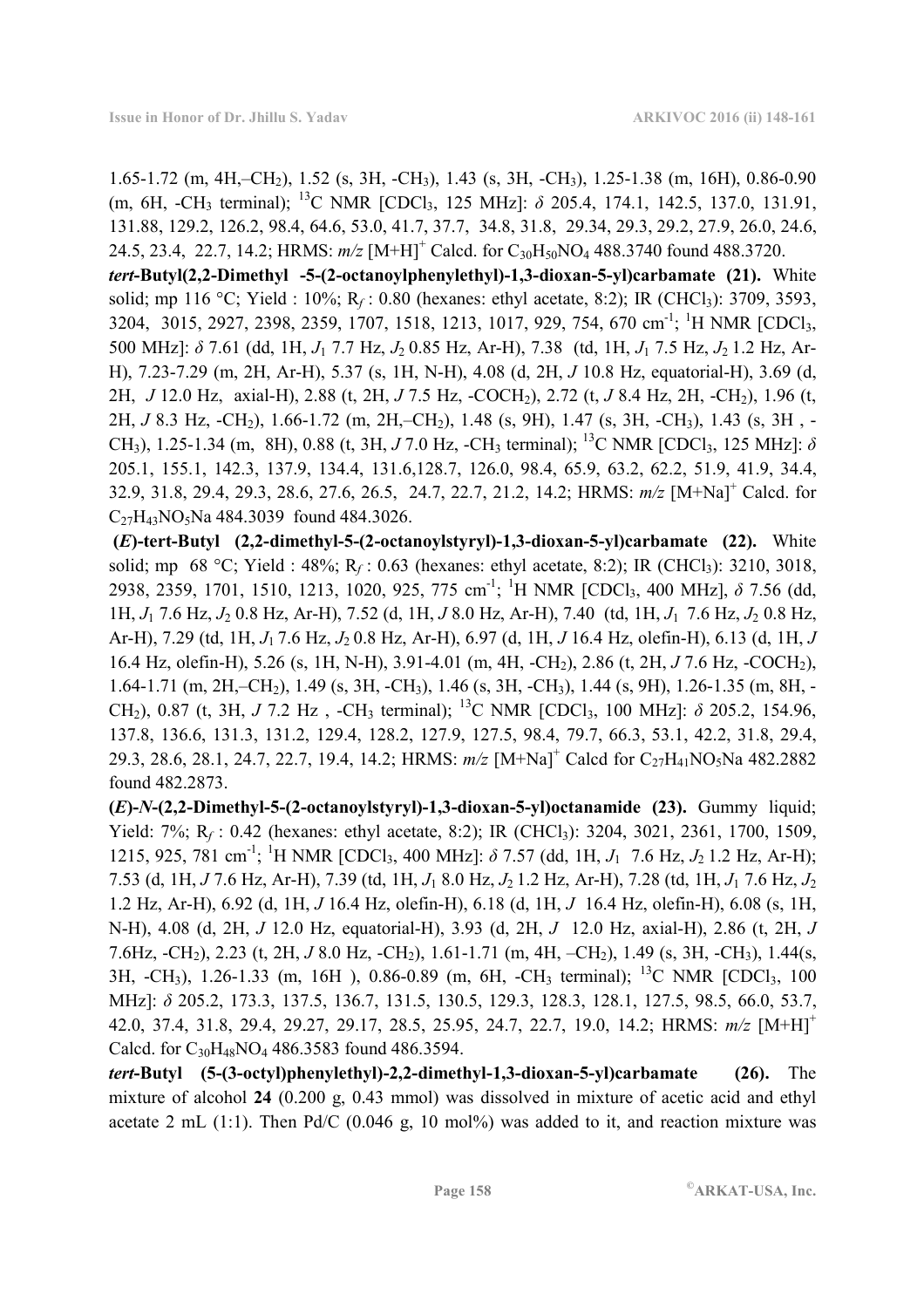1.65-1.72 (m, 4H,–CH2), 1.52 (s, 3H, -CH3), 1.43 (s, 3H, -CH3), 1.25-1.38 (m, 16H), 0.86-0.90 (m, 6H, -CH3 terminal); <sup>13</sup>C NMR [CDCl3, 125 MHz]: *δ* 205.4, 174.1, 142.5, 137.0, 131.91, 131.88, 129.2, 126.2, 98.4, 64.6, 53.0, 41.7, 37.7, 34.8, 31.8, 29.34, 29.3, 29.2, 27.9, 26.0, 24.6, 24.5, 23.4, 22.7, 14.2; HRMS:  $m/z$  [M+H]<sup>+</sup> Calcd. for C<sub>30</sub>H<sub>50</sub>NO<sub>4</sub> 488.3740 found 488.3720.

*tert***-Butyl(2,2-Dimethyl -5-(2-octanoylphenylethyl)-1,3-dioxan-5-yl)carbamate (21).** White solid; mp 116 °C; Yield : 10%; R<sub>f</sub> : 0.80 (hexanes: ethyl acetate, 8:2); IR (CHCl<sub>3</sub>): 3709, 3593, 3204, 3015, 2927, 2398, 2359, 1707, 1518, 1213, 1017, 929, 754, 670 cm<sup>-1</sup>; <sup>1</sup>H NMR [CDCl<sub>3</sub>, 500 MHz]: *δ* 7.61 (dd, 1H, *J*1 7.7 Hz, *J*2 0.85 Hz, Ar-H), 7.38 (td, 1H, *J*1 7.5 Hz, *J*2 1.2 Hz, Ar-H), 7.23-7.29 (m, 2H, Ar-H), 5.37 (s, 1H, N-H), 4.08 (d, 2H, *J* 10.8 Hz, equatorial-H), 3.69 (d, 2H, *J* 12.0 Hz, axial-H), 2.88 (t, 2H, *J* 7.5 Hz, -COCH2), 2.72 (t, *J* 8.4 Hz, 2H, -CH2), 1.96 (t, 2H, *J* 8.3 Hz, -CH2), 1.66-1.72 (m, 2H,–CH2), 1.48 (s, 9H), 1.47 (s, 3H, -CH3), 1.43 (s, 3H , - CH<sub>3</sub>), 1.25-1.34 (m, 8H), 0.88 (t, 3H, *J* 7.0 Hz, -CH<sub>3</sub> terminal); <sup>13</sup>C NMR [CDCl<sub>3</sub>, 125 MHz]: *δ* 205.1, 155.1, 142.3, 137.9, 134.4, 131.6,128.7, 126.0, 98.4, 65.9, 63.2, 62.2, 51.9, 41.9, 34.4, 32.9, 31.8, 29.4, 29.3, 28.6, 27.6, 26.5, 24.7, 22.7, 21.2, 14.2; HRMS: *m/z* [M+Na]<sup>+</sup> Calcd. for C<sub>27</sub>H<sub>43</sub>NO<sub>5</sub>Na 484.3039 found 484.3026.

 **(***E***)-tert-Butyl (2,2-dimethyl-5-(2-octanoylstyryl)-1,3-dioxan-5-yl)carbamate (22).** White solid; mp 68 °C; Yield : 48%; R<sub>f</sub> : 0.63 (hexanes: ethyl acetate, 8:2); IR (CHCl<sub>3</sub>): 3210, 3018, 2938, 2359, 1701, 1510, 1213, 1020, 925, 775 cm-1; <sup>1</sup>H NMR [CDCl3, 400 MHz], *δ* 7.56 (dd, 1H, *J*1 7.6 Hz, *J*2 0.8 Hz, Ar-H), 7.52 (d, 1H, *J* 8.0 Hz, Ar-H), 7.40 (td, 1H, *J*1 7.6 Hz, *J*2 0.8 Hz, Ar-H), 7.29 (td, 1H, *J*1 7.6 Hz, *J*2 0.8 Hz, Ar-H), 6.97 (d, 1H, *J* 16.4 Hz, olefin-H), 6.13 (d, 1H, *J*  16.4 Hz, olefin-H), 5.26 (s, 1H, N-H), 3.91-4.01 (m, 4H, -CH2), 2.86 (t, 2H, *J* 7.6 Hz, -COCH2), 1.64-1.71 (m, 2H,–CH2), 1.49 (s, 3H, -CH3), 1.46 (s, 3H, -CH3), 1.44 (s, 9H), 1.26-1.35 (m, 8H, - CH<sub>2</sub>), 0.87 (t, 3H, *J* 7.2 Hz, -CH<sub>3</sub> terminal); <sup>13</sup>C NMR [CDCl<sub>3</sub>, 100 MHz]:  $\delta$  205.2, 154.96, 137.8, 136.6, 131.3, 131.2, 129.4, 128.2, 127.9, 127.5, 98.4, 79.7, 66.3, 53.1, 42.2, 31.8, 29.4, 29.3, 28.6, 28.1, 24.7, 22.7, 19.4, 14.2; HRMS:  $m/z$  [M+Na]<sup>+</sup> Calcd for C<sub>27</sub>H<sub>41</sub>NO<sub>5</sub>Na 482.2882 found 482.2873.

**(***E***)-***N***-(2,2-Dimethyl-5-(2-octanoylstyryl)-1,3-dioxan-5-yl)octanamide (23).** Gummy liquid; Yield: 7%; R<sub>f</sub>: 0.42 (hexanes: ethyl acetate, 8:2); IR (CHCl<sub>3</sub>): 3204, 3021, 2361, 1700, 1509, 1215, 925, 781 cm-1; <sup>1</sup>H NMR [CDCl3, 400 MHz]: *δ* 7.57 (dd, 1H, *J*1 7.6 Hz, *J*2 1.2 Hz, Ar-H); 7.53 (d, 1H, *J* 7.6 Hz, Ar-H), 7.39 (td, 1H, *J*1 8.0 Hz, *J*2 1.2 Hz, Ar-H), 7.28 (td, 1H, *J*1 7.6 Hz, *J*<sup>2</sup> 1.2 Hz, Ar-H), 6.92 (d, 1H, *J* 16.4 Hz, olefin-H), 6.18 (d, 1H, *J* 16.4 Hz, olefin-H), 6.08 (s, 1H, N-H), 4.08 (d, 2H, *J* 12.0 Hz, equatorial-H), 3.93 (d, 2H, *J* 12.0 Hz, axial-H), 2.86 (t, 2H, *J*  7.6Hz, -CH2), 2.23 (t, 2H, *J* 8.0 Hz, -CH2), 1.61-1.71 (m, 4H, –CH2), 1.49 (s, 3H, -CH3), 1.44(s, 3H,  $-CH_3$ ), 1.26-1.33 (m, 16H), 0.86-0.89 (m, 6H,  $-CH_3$  terminal); <sup>13</sup>C NMR [CDCl<sub>3</sub>, 100] MHz]: *δ* 205.2, 173.3, 137.5, 136.7, 131.5, 130.5, 129.3, 128.3, 128.1, 127.5, 98.5, 66.0, 53.7, 42.0, 37.4, 31.8, 29.4, 29.27, 29.17, 28.5, 25.95, 24.7, 22.7, 19.0, 14.2; HRMS: *m/z* [M+H]<sup>+</sup> Calcd. for C<sub>30</sub>H<sub>48</sub>NO<sub>4</sub> 486.3583 found 486.3594.

*tert***-Butyl (5-(3-octyl)phenylethyl)-2,2-dimethyl-1,3-dioxan-5-yl)carbamate (26).** The mixture of alcohol **24** (0.200 g, 0.43 mmol) was dissolved in mixture of acetic acid and ethyl acetate 2 mL  $(1:1)$ . Then Pd/C  $(0.046 \text{ g}, 10 \text{ mol})$  was added to it, and reaction mixture was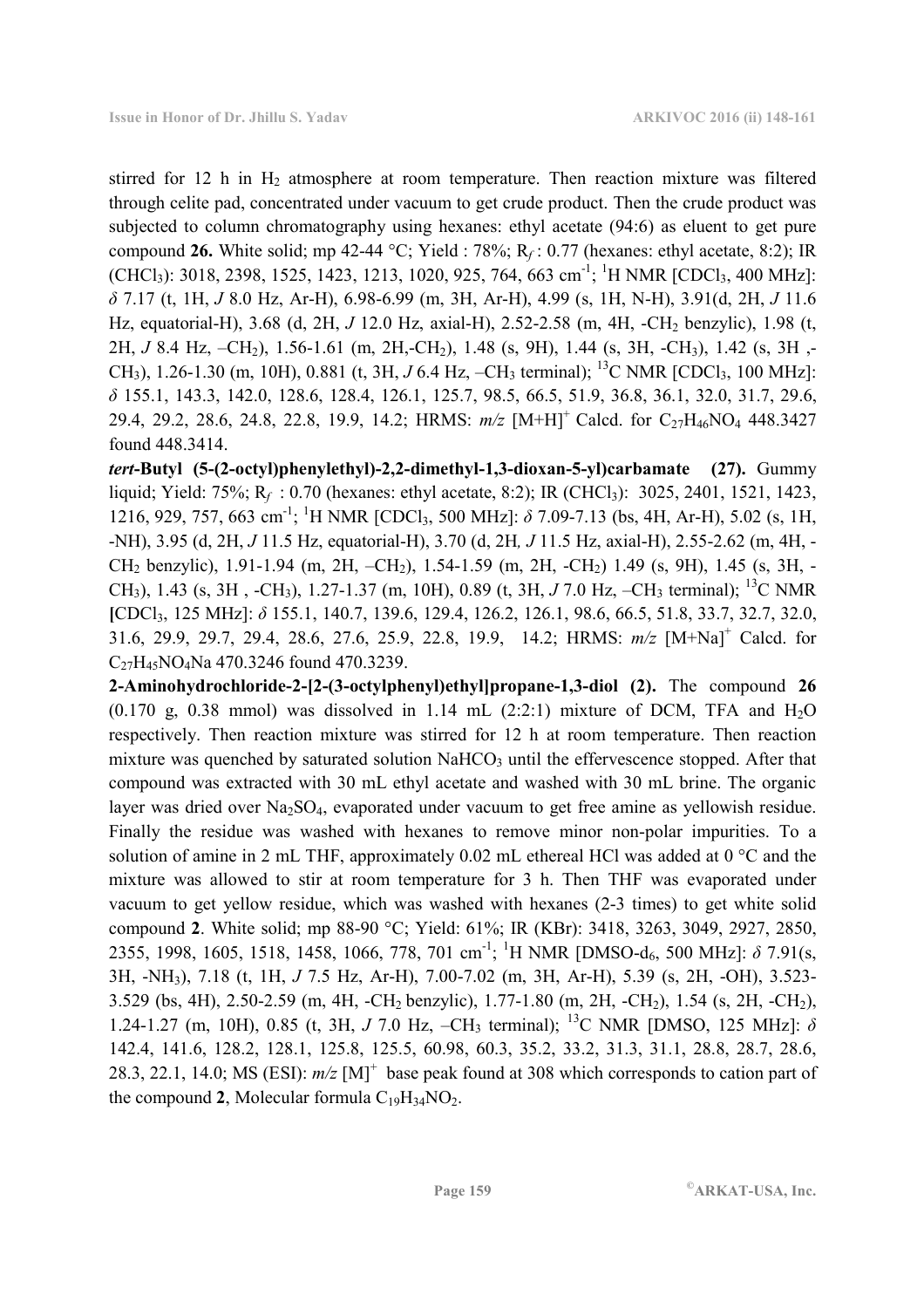stirred for 12 h in  $H_2$  atmosphere at room temperature. Then reaction mixture was filtered through celite pad, concentrated under vacuum to get crude product. Then the crude product was subjected to column chromatography using hexanes: ethyl acetate (94:6) as eluent to get pure compound **26.** White solid; mp 42-44 °C; Yield : 78%; R*<sup>f</sup>* : 0.77 (hexanes: ethyl acetate, 8:2); IR  $(CHCl<sub>3</sub>)$ : 3018, 2398, 1525, 1423, 1213, 1020, 925, 764, 663 cm<sup>-1</sup>; <sup>1</sup>H NMR  $[CDCl<sub>3</sub>, 400 MHz]$ : *δ* 7.17 (t, 1H, *J* 8.0 Hz, Ar-H), 6.98-6.99 (m, 3H, Ar-H), 4.99 (s, 1H, N-H), 3.91(d, 2H, *J* 11.6 Hz, equatorial-H), 3.68 (d, 2H, *J* 12.0 Hz, axial-H), 2.52-2.58 (m, 4H, -CH2 benzylic), 1.98 (t, 2H, *J* 8.4 Hz, –CH2), 1.56-1.61 (m, 2H,-CH2), 1.48 (s, 9H), 1.44 (s, 3H, -CH3), 1.42 (s, 3H ,- CH<sub>3</sub>), 1.26-1.30 (m, 10H), 0.881 (t, 3H, *J* 6.4 Hz, –CH<sub>3</sub> terminal); <sup>13</sup>C NMR [CDCl<sub>3</sub>, 100 MHz]: *δ* 155.1, 143.3, 142.0, 128.6, 128.4, 126.1, 125.7, 98.5, 66.5, 51.9, 36.8, 36.1, 32.0, 31.7, 29.6, 29.4, 29.2, 28.6, 24.8, 22.8, 19.9, 14.2; HRMS:  $m/z$  [M+H]<sup>+</sup> Calcd. for C<sub>27</sub>H<sub>46</sub>NO<sub>4</sub> 448.3427 found 448.3414.

*tert***-Butyl (5-(2-octyl)phenylethyl)-2,2-dimethyl-1,3-dioxan-5-yl)carbamate (27).** Gummy liquid; Yield: 75%; R*<sup>f</sup>* : 0.70 (hexanes: ethyl acetate, 8:2); IR (CHCl3):3025, 2401, 1521, 1423, 1216, 929, 757, 663 cm-1; <sup>1</sup>H NMR [CDCl3, 500 MHz]: *δ* 7.09-7.13 (bs, 4H, Ar-H), 5.02 (s, 1H, -NH), 3.95 (d, 2H, *J* 11.5 Hz, equatorial-H), 3.70 (d, 2H*, J* 11.5 Hz, axial-H), 2.55-2.62 (m, 4H, - CH2 benzylic), 1.91-1.94 (m, 2H, –CH2), 1.54-1.59 (m, 2H, -CH2) 1.49 (s, 9H), 1.45 (s, 3H, - CH<sub>3</sub>), 1.43 (s, 3H, -CH<sub>3</sub>), 1.27-1.37 (m, 10H), 0.89 (t, 3H, *J* 7.0 Hz, -CH<sub>3</sub> terminal); <sup>13</sup>C NMR **[**CDCl3, 125 MHz]: *δ* 155.1, 140.7, 139.6, 129.4, 126.2, 126.1, 98.6, 66.5, 51.8, 33.7, 32.7, 32.0, 31.6, 29.9, 29.7, 29.4, 28.6, 27.6, 25.9, 22.8, 19.9, 14.2; HRMS: *m/z* [M+Na]<sup>+</sup> Calcd. for C27H45NO4Na 470.3246 found 470.3239.

**2-Aminohydrochloride-2-[2-(3-octylphenyl)ethyl]propane-1,3-diol (2).** The compound **26**  $(0.170 \text{ g}, 0.38 \text{ mmol})$  was dissolved in 1.14 mL  $(2.2.1)$  mixture of DCM, TFA and H<sub>2</sub>O respectively. Then reaction mixture was stirred for 12 h at room temperature. Then reaction mixture was quenched by saturated solution NaHCO<sub>3</sub> until the effervescence stopped. After that compound was extracted with 30 mL ethyl acetate and washed with 30 mL brine. The organic layer was dried over Na2SO4, evaporated under vacuum to get free amine as yellowish residue. Finally the residue was washed with hexanes to remove minor non-polar impurities. To a solution of amine in 2 mL THF, approximately 0.02 mL ethereal HCl was added at 0 °C and the mixture was allowed to stir at room temperature for 3 h. Then THF was evaporated under vacuum to get yellow residue, which was washed with hexanes (2-3 times) to get white solid compound **2**. White solid; mp 88-90 °C; Yield: 61%; IR (KBr): 3418, 3263, 3049, 2927, 2850, 2355, 1998, 1605, 1518, 1458, 1066, 778, 701 cm-1; <sup>1</sup>H NMR [DMSO-d6, 500 MHz]: *δ* 7.91(s, 3H, -NH3), 7.18 (t, 1H, *J* 7.5 Hz, Ar-H), 7.00-7.02 (m, 3H, Ar-H), 5.39 (s, 2H, -OH), 3.523- 3.529 (bs, 4H), 2.50-2.59 (m, 4H, -CH2 benzylic), 1.77-1.80 (m, 2H, -CH2), 1.54 (s, 2H, -CH2), 1.24-1.27 (m, 10H), 0.85 (t, 3H, *J* 7.0 Hz, –CH3 terminal); <sup>13</sup>C NMR [DMSO, 125 MHz]: *δ* 142.4, 141.6, 128.2, 128.1, 125.8, 125.5, 60.98, 60.3, 35.2, 33.2, 31.3, 31.1, 28.8, 28.7, 28.6, 28.3, 22.1, 14.0; MS (ESI):  $m/z$  [M]<sup>+</sup> base peak found at 308 which corresponds to cation part of the compound 2, Molecular formula  $C_{19}H_{34}NO_2$ .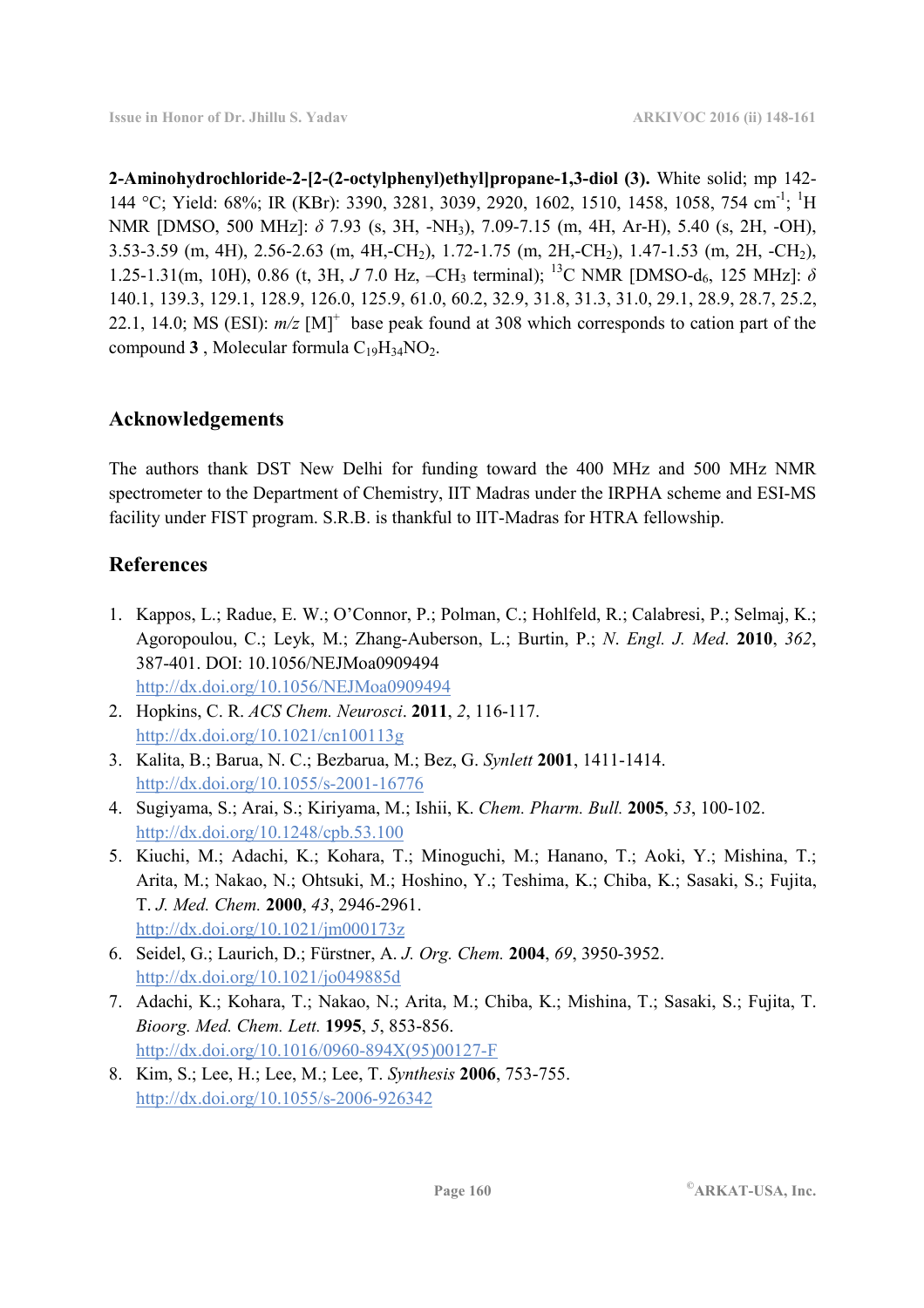**2-Aminohydrochloride-2-[2-(2-octylphenyl)ethyl]propane-1,3-diol (3).** White solid; mp 142- 144 °C; Yield: 68%; IR (KBr): 3390, 3281, 3039, 2920, 1602, 1510, 1458, 1058, 754 cm<sup>-1</sup>; <sup>1</sup>H NMR [DMSO, 500 MHz]: *δ* 7.93 (s, 3H, -NH3), 7.09-7.15 (m, 4H, Ar-H), 5.40 (s, 2H, -OH), 3.53-3.59 (m, 4H), 2.56-2.63 (m, 4H,-CH2), 1.72-1.75 (m, 2H,-CH2), 1.47-1.53 (m, 2H, -CH2), 1.25-1.31(m, 10H), 0.86 (t, 3H, *J* 7.0 Hz, –CH3 terminal); <sup>13</sup>C NMR [DMSO-d6, 125 MHz]: *δ* 140.1, 139.3, 129.1, 128.9, 126.0, 125.9, 61.0, 60.2, 32.9, 31.8, 31.3, 31.0, 29.1, 28.9, 28.7, 25.2, 22.1, 14.0; MS (ESI):  $m/z$  [M]<sup>+</sup> base peak found at 308 which corresponds to cation part of the compound  $3$ , Molecular formula  $C_{19}H_{34}NO_2$ .

# **Acknowledgements**

The authors thank DST New Delhi for funding toward the 400 MHz and 500 MHz NMR spectrometer to the Department of Chemistry, IIT Madras under the IRPHA scheme and ESI-MS facility under FIST program. S.R.B. is thankful to IIT-Madras for HTRA fellowship.

# **References**

- 1. Kappos, L.; Radue, E. W.; O'Connor, P.; Polman, C.; Hohlfeld, R.; Calabresi, P.; Selmaj, K.; Agoropoulou, C.; Leyk, M.; Zhang-Auberson, L.; Burtin, P.; *N*. *Engl. J. Med*. **2010**, *362*, 387-401. DOI: 10.1056/NEJMoa0909494 http://dx.doi.org/10.1056/NEJMoa0909494
- 2. Hopkins, C. R. *ACS Chem. Neurosci*. **2011**, *2*, 116-117. http://dx.doi.org/10.1021/cn100113g
- 3. Kalita, B.; Barua, N. C.; Bezbarua, M.; Bez, G. *Synlett* **2001**, 1411-1414. http://dx.doi.org/10.1055/s-2001-16776
- 4. Sugiyama, S.; Arai, S.; Kiriyama, M.; Ishii, K. *Chem. Pharm. Bull.* **2005**, *53*, 100-102. http://dx.doi.org/10.1248/cpb.53.100
- 5. Kiuchi, M.; Adachi, K.; Kohara, T.; Minoguchi, M.; Hanano, T.; Aoki, Y.; Mishina, T.; Arita, M.; Nakao, N.; Ohtsuki, M.; Hoshino, Y.; Teshima, K.; Chiba, K.; Sasaki, S.; Fujita, T. *J. Med. Chem.* **2000**, *43*, 2946-2961. http://dx.doi.org/10.1021/jm000173z
- 6. Seidel, G.; Laurich, D.; Fürstner, A. *J. Org. Chem.* **2004**, *69*, 3950-3952. http://dx.doi.org/10.1021/jo049885d
- 7. Adachi, K.; Kohara, T.; Nakao, N.; Arita, M.; Chiba, K.; Mishina, T.; Sasaki, S.; Fujita, T. *Bioorg. Med. Chem. Lett.* **1995**, *5*, 853-856. http://dx.doi.org/10.1016/0960-894X(95)00127-F
- 8. Kim, S.; Lee, H.; Lee, M.; Lee, T. *Synthesis* **2006**, 753-755. http://dx.doi.org/10.1055/s-2006-926342